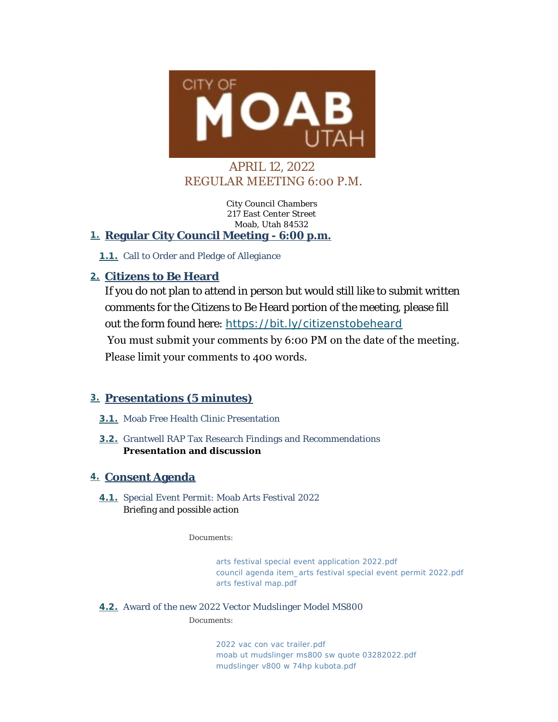

# APRIL 12, 2022 REGULAR MEETING 6:00 P.M.

City Council Chambers 217 East Center Street Moab, Utah 84532

## **Regular City Council Meeting - 6:00 p.m. 1.**

1.1. Call to Order and Pledge of Allegiance

## **Citizens to Be Heard 2.**

If you do not plan to attend in person but would still like to submit written comments for the Citizens to Be Heard portion of the meeting, please fill out the form found here: *<https://bit.ly/citizenstobeheard>* You must submit your comments by 6:00 PM on the date of the meeting. Please limit your comments to 400 words.

## **Presentations (5 minutes) 3.**

- 3.1. Moab Free Health Clinic Presentation
- **3.2.** Grantwell RAP Tax Research Findings and Recommendations **Presentation and discussion**

## **Consent Agenda 4.**

**4.1.** Special Event Permit: Moab Arts Festival 2022 Briefing and possible action

*Documents:*

*[arts festival special event application 2022.pdf](https://moabcity.org/AgendaCenter/ViewFile/Item/4756?fileID=5740) [council agenda item\\_arts festival special event permit 2022.pdf](https://moabcity.org/AgendaCenter/ViewFile/Item/4756?fileID=5741) [arts festival map.pdf](https://moabcity.org/AgendaCenter/ViewFile/Item/4756?fileID=5742)*

**4.2.** Award of the new 2022 Vector Mudslinger Model MS800

*Documents:*

*[2022 vac con vac trailer.pdf](https://moabcity.org/AgendaCenter/ViewFile/Item/4785?fileID=5761) [moab ut mudslinger ms800 sw quote 03282022.pdf](https://moabcity.org/AgendaCenter/ViewFile/Item/4785?fileID=5762) [mudslinger v800 w 74hp kubota.pdf](https://moabcity.org/AgendaCenter/ViewFile/Item/4785?fileID=5763)*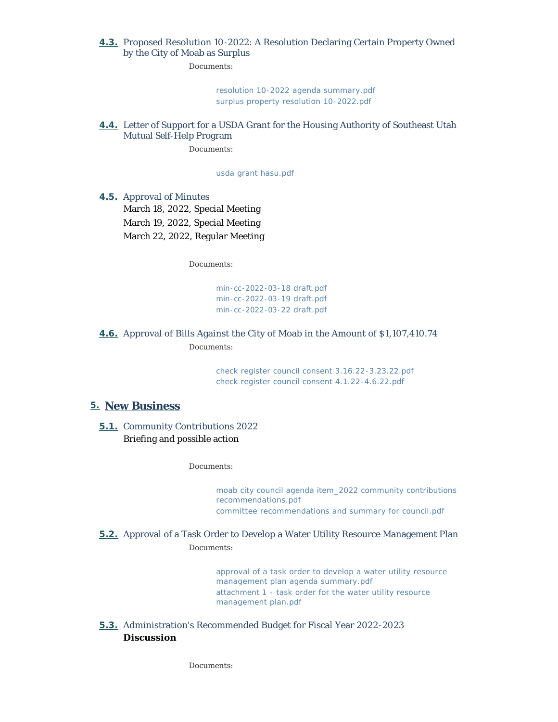#### 4.3. Proposed Resolution 10-2022: A Resolution Declaring Certain Property Owned by the City of Moab as Surplus

*Documents:*

*[resolution 10-2022 agenda summary.pdf](https://moabcity.org/AgendaCenter/ViewFile/Item/4749?fileID=5749) [surplus property resolution 10-2022.pdf](https://moabcity.org/AgendaCenter/ViewFile/Item/4749?fileID=5750)*

#### Letter of Support for a USDA Grant for the Housing Authority of Southeast Utah **4.4.** Mutual Self-Help Program

*Documents:*

*[usda grant hasu.pdf](https://moabcity.org/AgendaCenter/ViewFile/Item/4790?fileID=5769)*

**4.5.** Approval of Minutes

March 18, 2022, Special Meeting March 19, 2022, Special Meeting March 22, 2022, Regular Meeting

*Documents:*

*[min-cc-2022-03-18 draft.pdf](https://moabcity.org/AgendaCenter/ViewFile/Item/4761?fileID=5755) [min-cc-2022-03-19 draft.pdf](https://moabcity.org/AgendaCenter/ViewFile/Item/4761?fileID=5756) [min-cc-2022-03-22 draft.pdf](https://moabcity.org/AgendaCenter/ViewFile/Item/4761?fileID=5757)*

#### **4.6.** Approval of Bills Against the City of Moab in the Amount of \$1,107,410.74 *Documents:*

*[check register council consent 3.16.22-3.23.22.pdf](https://moabcity.org/AgendaCenter/ViewFile/Item/4769?fileID=5753) [check register council consent 4.1.22-4.6.22.pdf](https://moabcity.org/AgendaCenter/ViewFile/Item/4769?fileID=5754)*

#### **New Business 5.**

**5.1.** Community Contributions 2022 Briefing and possible action

*Documents:*

*[moab city council agenda item\\_2022 community contributions](https://moabcity.org/AgendaCenter/ViewFile/Item/4757?fileID=5743)  recommendations.pdf [committee recommendations and summary for council.pdf](https://moabcity.org/AgendaCenter/ViewFile/Item/4757?fileID=5744)*

#### **5.2.** Approval of a Task Order to Develop a Water Utility Resource Management Plan *Documents:*

*[approval of a task order to develop a water utility resource](https://moabcity.org/AgendaCenter/ViewFile/Item/4758?fileID=5746)  management plan agenda summary.pdf [attachment 1 - task order for the water utility resource](https://moabcity.org/AgendaCenter/ViewFile/Item/4758?fileID=5747)  management plan.pdf*

#### 5.3. Administration's Recommended Budget for Fiscal Year 2022-2023 **Discussion**

*Documents:*